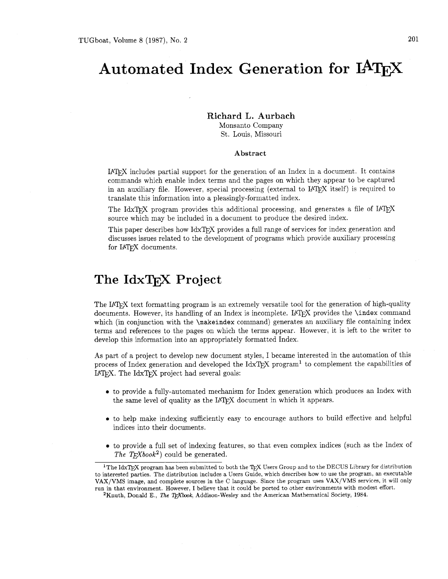# **Automated Index Generation for**

**Richard L. Aurbach**  Monsanto Company

St. Louis, Missouri

#### **Abstract**

IATRX includes partial support for the generation of an Index in a document. It contains commands which enable index terms and the pages on which they appear to be captured in an auxiliary file. However, special processing (external to IAT<sub>F</sub>X itself) is required to translate this information into a pleasingly-formatted index.

The IdxTFX program provides this additional processing, and generates a file of IATEX source which may be included in a document to produce the desired index.

This paper describes how IdxTFX provides a full range of services for index generation and discusses issues related to the development of programs which provide auxiliary processing for IATFX documents.

### **The IdxTFX Project**

The IAT<sub>E</sub>X text formatting program is an extremely versatile tool for the generation of high-quality documents. However, its handling of an Index is incomplete. I4QjX provides the **\index** command which (in conjunction with the **\makeindex** command) generates an auxiliary file containing index terms and references to the pages on which the terms appear. However, it is left to the writer to develop this information into an appropriately formatted Index.

As part of a project to develop new document styles, I became interested in the automation of this process of Index generation and developed the  $IdxTFX$  program<sup>1</sup> to complement the capabilities of IATFX. The IdxTFX project had several goals:

- **0** to provide a fully-automated mechanism for Index generation which produces an Index with the same level of quality as the IAT<sub>F</sub>X document in which it appears.
- **0** to help make indexing sufficiently easy to encourage authors to build effective and helpful indices into their documents.
- **<sup>0</sup>**to provide a full set of indexing features, so that even complex indices (such as the Index of The T<sub>E</sub>Xbook<sup>2</sup>) could be generated.

<sup>&</sup>lt;sup>1</sup>The IdxT<sub>F</sub>X program has been submitted to both the T<sub>F</sub>X Users Group and to the DECUS Library for distribution to interested parties. The distribution includes a Users Guide, which describes how to use the program, an executable VAX/VMS image, and complete sources in the **C** language. Since the program uses VAX/VMS services, it will only run in that environment. However, I believe that it could be ported to other environments with modest effort.

<sup>&</sup>lt;sup>2</sup>Knuth, Donald E., *The TEXbook*, Addison-Wesley and the American Mathematical Society, 1984.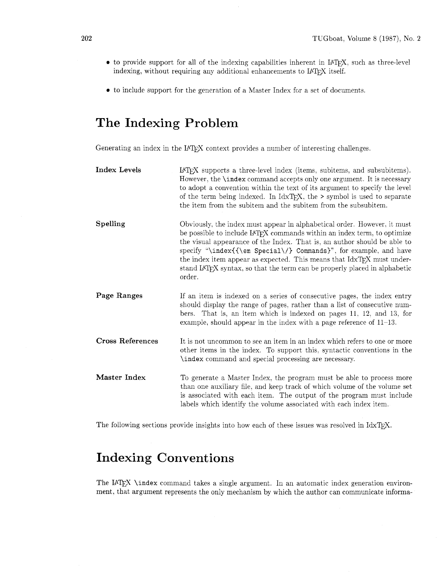- to provide support for all of the indexing capabilities inherent in IAT<sub>F</sub>X, such as three-level indexing, without requiring any additional enhancements to IATEX itself.
- $\bullet\,$  to include support for the generation of a Master Index for a set of documents.

## **The Indexing Problem**

Generating an index in the IAT<sub>E</sub>X context provides a number of interesting challenges.

| <b>Index Levels</b> | LAT <sub>F</sub> X supports a three-level index (items, subitems, and subsubitems).<br>However, the <b>\index</b> command accepts only one argument. It is necessary<br>to adopt a convention within the text of its argument to specify the level<br>of the term being indexed. In $IdxTeX$ , the $\ge$ symbol is used to separate<br>the item from the subitem and the subitem from the subsubitem.                                                                                          |
|---------------------|------------------------------------------------------------------------------------------------------------------------------------------------------------------------------------------------------------------------------------------------------------------------------------------------------------------------------------------------------------------------------------------------------------------------------------------------------------------------------------------------|
| Spelling            | Obviously, the index must appear in alphabetical order. However, it must<br>be possible to include IATFX commands within an index term, to optimize<br>the visual appearance of the Index. That is, an author should be able to<br>specify "\index{{\em Special\/} Commands}", for example, and have<br>the index item appear as expected. This means that IdxT <sub>F</sub> X must under-<br>stand IAT <sub>F</sub> X syntax, so that the term can be properly placed in alphabetic<br>order. |
| Page Ranges         | If an item is indexed on a series of consecutive pages, the index entry<br>should display the range of pages, rather than a list of consecutive num-<br>bers. That is, an item which is indexed on pages 11, 12, and 13, for<br>example, should appear in the index with a page reference of $11-13$ .                                                                                                                                                                                         |
| Cross References    | It is not uncommon to see an item in an index which refers to one or more<br>other items in the index. To support this, syntactic conventions in the<br>\index command and special processing are necessary.                                                                                                                                                                                                                                                                                   |
| Master Index        | To generate a Master Index, the program must be able to process more<br>than one auxiliary file, and keep track of which volume of the volume set<br>is associated with each item. The output of the program must include<br>labels which identify the volume associated with each index item.                                                                                                                                                                                                 |

The following sections provide insights into how each of these issues was resolved in IdxT<sub>E</sub>X.

## **Indexing Conventions**

The IAT<sub>E</sub>X \index command takes a single argument. In an automatic index generation environment, that argument represents the only mechanism by which the author can communicate informa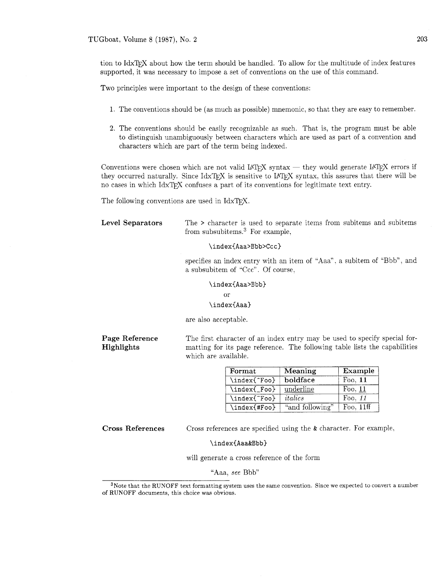TUGboat, Volume 8 (1987), No. 2 **203** 

tion to IdxTFX about how the term should be handled. To allow for the multitude of index features supported, it was necessary to impose a set of conventions on the use of this command.

Two principles were important to the design of these conventions:

- 1. The conventions should be (as much as possible) mnemonic, so that they are easy to remember.
- 2. The conventions should be easily recognizable as such. That is, the program must be able to distinguish unambiguously between characters which are used as part of a convention and characters which are part of the term being indexed.

Conventions were chosen which are not valid IAT<sub>F</sub>X syntax  $-$  they would generate IAT<sub>F</sub>X errors if they occurred naturally. Since IdxTEX is sensitive to IATEX syntax, this assures that there will be no cases in which IdxTFX confuses a part of its conventions for legitimate text entry.

The following conventions are used in  $\text{IdxTr}X$ .

Level Separators The > character is used to separate items from subitems and subitems from subsubitems. $3$  For example,

#### \index{Aaa>Bbb>Ccc}

specifies an index entry with an item of "Aaa". a subitem of "Bbb", and a subsubitem of "Ccc" . Of course,

#### \index{Aaa>Bbb}

**or** 

#### \index{Aaa}

are also acceptable.

Page Reference Highlights

The first character of an index entry may be used to specify special formatting for its page reference. The following table lists the capabilities which are available.

| Format       | Meaning         | Example     |
|--------------|-----------------|-------------|
| \index{^Foo} | boldface        | Foo. $11$   |
| \index{_Foo} | underline       | Foo, $11$   |
| \index{~Foo} | italics         | Foo. 11     |
| \index{#Foo} | "and following" | Foo, $11ff$ |

Cross References Cross references are specified using the & character. For example,

#### \index{Aaa&Bbb}

will generate a cross reference of the form

"Aaa, see Bbb"

<sup>3</sup>Note that the RUNOFF text formatting system uses the same convention. Since we expected to convert a number of RUNOFF documents, this choice was obvious.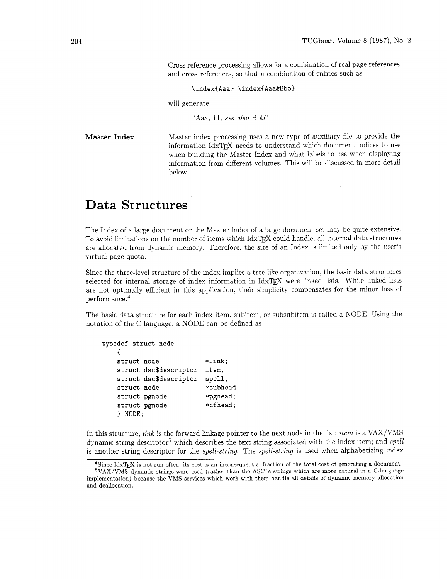Cross reference processing allows for a combination of real page references and cross references, so that a combination of entries such as

\index{Aaa} \index{Aaa&Bbb}

will generate

"Aaa, 11: *see also* Bbb"

**Master Index** 

Master index processing uses a new type of auxiliary file to provide the information IdxTFX needs to understand which document indices to use when building the Master Index and what labels to use when displaying information from different volumes. This will be discussed in more detail below.

### **Data** Structures

The Index of a large document or the Master Index of a large document set may be quite extensive. To avoid limitations on the number of items which IdxTFX could handle, all internal data structures are allocated from dynamic memory. Therefore, the size of an Index is limited only by the user's virtual page quota.

Since the three-level structure of the index implies a tree-like organization, the basic data structures selected for internal storage of index information in IdxTFX were linked lists. While linked lists are not optimally efficient in this application, their simplicity compensates for the minor loss of performance.4

The basic data structure for each index item, subitem, or subsubitem is called a XODE. Using the notation of the C language, a NODE can be defined as

```
typedef struct node 
   C 
   struct node *link; 
   struct dsc$descriptor item; 
   struct dsc$descriptor spell; 
   struct node *subhead; 
   struct pgnode *pghead;
   struct pgnode *cfhead;
   } NODE;
```
In this structure, *link* is the forward linkage pointer to the next node in the list; *item* is a VAX/VMS dynamic string descriptor5 which describes the text string associated with the index item; and *spell*  is another string descriptor for the *spell-string.* The *spell-string* is used when alphabetizing index

<sup>&</sup>lt;sup>4</sup>Since IdxT<sub>E</sub>X is not run often, its cost is an inconsequential fraction of the total cost of generating a document.

<sup>&#</sup>x27;VAX/VMS dynamic strings were used (rather than the ASCIZ strings which are more natural in a C-language implementation) because the VMS services which work with them handle all details of dynamic memory allocation and deallocation.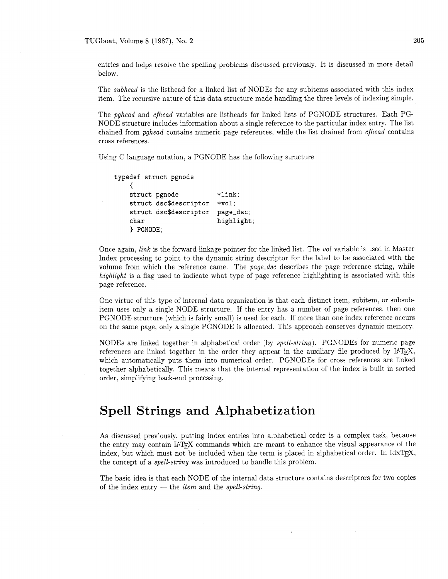TUGboat, Volume 8 (1987), No. 2 **205** 

entries and helps resolve the spelling problems discussed previously. It is discussed in more detail below.

The *subhead* is the listhead for a linked list of NODEs for any subitems associated with this index item. The recursive nature of this data structure made handling the three levels of indexing simple.

The *pghead* and *cfhead* variables are listheads for linked lists of PGXODE structures. Each PG-NODE structure includes information about a single reference to the particular index entry. The list chained from *pghead* contains numeric page references, while the list chained from *cfhead* contains cross references.

Using C language notation, a PGNODE has the following structure

```
typedef struct pgnode 
   €
   struct pgnode *link; 
   struct dsc$descriptor *vol; 
   struct dsc$descriptor page-dsc; 
   char highlight;
   ) PGNODE;
```
Once again, *link* is the forward linkage pointer for the linked list. The *vol* variable is used in Master Index processing to point to the dynamic string descriptor for the label to be associated with the volume from which the reference came. The *page-dsc* describes the page reference string, while *highlight* is a flag used to indicate what type of page reference highlighting is associated with this page reference.

One virtue of this type of internal data organization is that each distinct item, subitem. or subsubitem uses only a single NODE structure. If the entry has a number of page references, then one PGNODE structure (which is fairly small) is used for each. If more than one index reference occurs on the same page. only a single PGNODE is allocated. This approach conserves dynamic memory.

NODEs are linked together in alphabetical order (by *spell-string).* PGNODEs for numeric page references are linked together in the order they appear in the auxiliary file produced by  $IATFX$ , which automatically puts them into numerical order. PGNODEs for cross references are linked together alphabetically. This means that the internal representation of the index is built in sorted order, simplifying back-end processing.

### **Spell Strings and Alphabetization**

As discussed previously, putting index entries into alphabetical order is a complex task, because the entry may contain IAT<sub>R</sub>X commands which are meant to enhance the visual appearance of the index, but which must not be included when the term is placed in alphabetical order. In Id $xT\rightarrow X$ , the concept of a *spell-string* was introduced to handle this problem.

The basic idea is that each NODE of the internal data structure contains descriptors for two copies of the index entry — the *item* and the *spell-string*.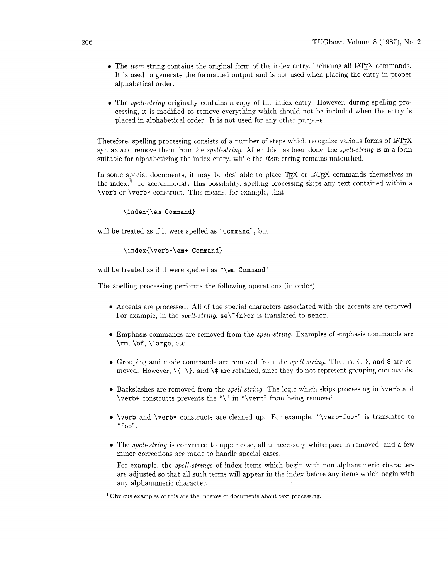- The *item* string contains the original form of the index entry, including all IAT<sub>F</sub>X commands. It is used to generate the formatted output and is not used when placing the entry in proper alphabetical order.
- The *spell-string* originally contains a copy of the index entry. However, during spelling processing, it is modified to remove everything which should not be included when the entry is placed in alphabetical order. It is not used for any other purpose.

Therefore, spelling processing consists of a number of steps which recognize various forms of IAT<sub>F</sub>X syntax and remove them from the *spell-string*. After this has been done, the *spell-string* is in a form suitable for alphabetizing the index entry, while the *item* string remains untouched.

In some special documents, it may be desirable to place T<sub>F</sub>X or  $IATFX$  commands themselves in the index.<sup>6</sup> To accommodate this possibility, spelling processing skips any text contained within a \verb or \verb\* construct. This means, for example, that

\index{\em Command}

will be treated as if it were spelled as "Command", but

#### \index(\verb+\em+ Command)

will be treated as if it were spelled as "\em Command".

The spelling processing performs the following operations (in order)

- **0** Accents are processed. All of the special characters associated with the accents are removed. For example, in the *spell-string*,  $\texttt{se}\$  (n)or is translated to senor.
- Emphasis commands are removed from the spell-string. Examples of emphasis commands are \rm, \bf, \large, etc.
- **<sup>0</sup>**Grouping and mode commands are removed from the spell-string. That is. **C,** ), and \$ are removed. However,  $\langle \{, \rangle\}$ , and  $\$  are retained, since they do not represent grouping commands.
- $\bullet$  Backslashes are removed from the *spell-string*. The logic which skips processing in \verb and \verb\* constructs prevents the "\" in "\verb3' from being removed.
- $\bullet$  \verb and \verb\* constructs are cleaned up. For example, "\verb+foo+" is translated to  $"$ foo".
- The *spell-string* is converted to upper case, all unnecessary whitespace is removed, and a few minor corrections are made to handle special cases.

For example, the spell-strings of index items which begin with non-alphanumeric characters are adjusted so that all such terms will appear in the index before any items which begin with any alphanumeric character.

 $60$ bvious examples of this are the indexes of documents about text processing.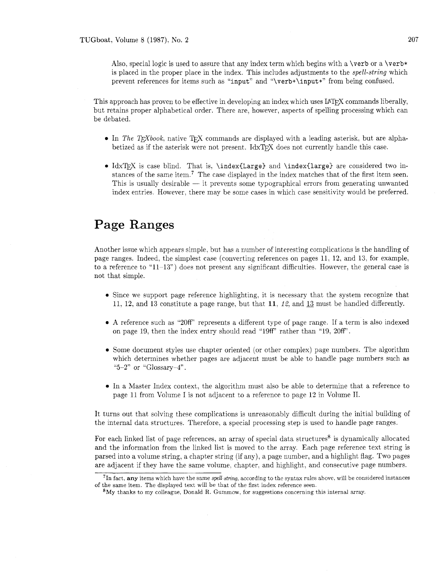Also, special logic is used to assure that any index term which begins with a  $\verb|\verb|$  or a  $\verb|\verb*|$ is placed in the proper place in the index. This includes adjustments to the *spell-string* which prevent references for items such as "input" and "\verb+\input+" from being confused.

This approach has proven to be effective in developing an index which uses IATFX commands liberally, but retains proper alphabetical order. There are, however, aspects of spelling processing which can be debated.

- $\bullet$  In *The T<sub>F</sub>Xbook*, native T<sub>F</sub>X commands are displayed with a leading asterisk, but are alphabetized as if the asterisk were not present. IdxTFX does not currently handle this case.
- IdxTFX is case blind. That is. \index{Large} and \index{large} are considered two instances of the same item.<sup>7</sup> The case displayed in the index matches that of the first item seen.<br>This is usually desirable — it prevents some typographical errors from generating unwanted<br>in decoupting Hart theorems have index entries. However. there may be some cases in which case sensitivity would be preferred.

### **Page** Ranges

Another issue which appears simple, but has a number of interesting complications is the handling of page ranges. Indeed, the simplest case (converting references on pages 11. 12, and 13, for example. to a reference to "11-13") does not present any significant difficulties. However. the general case is not that simple.

- Since we support page reference highlighting, it is necessary that the system recognize that 11. 12, and 13 constitute a page range, but that 11, *12,* and 13 must be handled differently.
- A reference such as "20fP' represents a different type of page range. If a term is also indexed on page 19, then the index entry should read "19fF' rather than "19. 20fP'.
- Some document styles use chapter oriented (or other complex) page numbers. The algorithm which determines whether pages are adjacent must be able to handle page numbers such as "5-2" or "Glossary-4".
- In a Master Index context, the algorithm must also be able to determine that a reference to page 11 from Volume I is not adjacent to a reference to page 12 in Volume 11.

It turns out that solving these complications is unreasonably difficult during the initial building of the internal data structures. Therefore, a special processing step is used to handle page ranges.

For each linked list of page references, an array of special data structures<sup>8</sup> is dynamically allocated and the information from the linked list is moved to the array. Each page reference text string is parsed into a volume string. a chapter string (if any), a page number, and a highlight flag. Two pages are adjacent if they have the same volume. chapter. and highlight. and consecutive page numbers.

<sup>71</sup>n fact, any items which have the same *spell-string,* according to the syntax rules above, will be considered instances of the same item. The displayed text will be that of the first index reference seen.

 $8\,\text{My}$  thanks to my colleague, Donald R. Gummow, for suggestions concerning this internal array.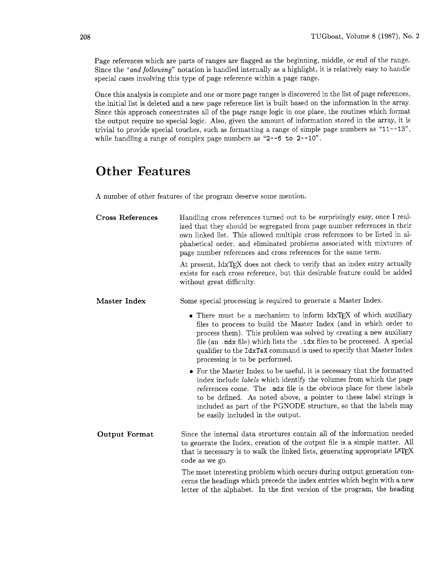Page references which are parts of ranges are flagged as the beginning, middle, or end of the range. Since the *"and following"* notation is handled internally as a highlight, it is relatively easy to handle special cases involving this type of page reference within a page range.

Once this analysis is complete and one or more page ranges is discovered in the list of page references, the initial list is deleted and a new page reference list is built based on the information in the array. Since this approach concentrates all of the page range logic in one place, the routines which format the output require no special logic. Also, given the amount of information stored in the array, it is trivial to provide special touches, such as formatting a range of simple page numbers as "11--13", while handling a range of complex page numbers as "2--6 to 2--10".

### **Other Features**

A number of other features of the program deserve some mention

| <b>Cross References</b> | Handling cross references turned out to be surprisingly easy, once I real-<br>ized that they should be segregated from page number references in their<br>own linked list. This allowed multiple cross references to be listed in al-<br>phabetical order, and eliminated problems associated with mixtures of<br>page number references and cross references for the same term.                      |
|-------------------------|-------------------------------------------------------------------------------------------------------------------------------------------------------------------------------------------------------------------------------------------------------------------------------------------------------------------------------------------------------------------------------------------------------|
|                         | At present, IdxTEX does not check to verify that an index entry actually<br>exists for each cross reference, but this desirable feature could be added<br>without great difficulty.                                                                                                                                                                                                                   |
| Master Index            | Some special processing is required to generate a Master Index.                                                                                                                                                                                                                                                                                                                                       |
|                         | • There must be a mechanism to inform IdxTEX of which auxiliary<br>files to process to build the Master Index (and in which order to<br>process them). This problem was solved by creating a new auxiliary<br>file (an .mdx file) which lists the .idx files to be processed. A special<br>qualifier to the IdxTeX command is used to specify that Master Index<br>processing is to be performed.     |
|                         | • For the Master Index to be useful, it is necessary that the formatted<br>index include labels which identify the volumes from which the page<br>references come. The .mdx file is the obvious place for these labels<br>to be defined. As noted above, a pointer to these label strings is<br>included as part of the PGNODE structure, so that the labels may<br>be easily included in the output. |
| <b>Output Format</b>    | Since the internal data structures contain all of the information needed<br>to generate the Index, creation of the output file is a simple matter. All<br>that is necessary is to walk the linked lists, generating appropriate LAT <sub>E</sub> X<br>code as we go.                                                                                                                                  |

The most interesting problem which occurs during output generation concerns the headings which precede the index entries which begin with a new letter of the alphabet. In the first version of the program, the heading